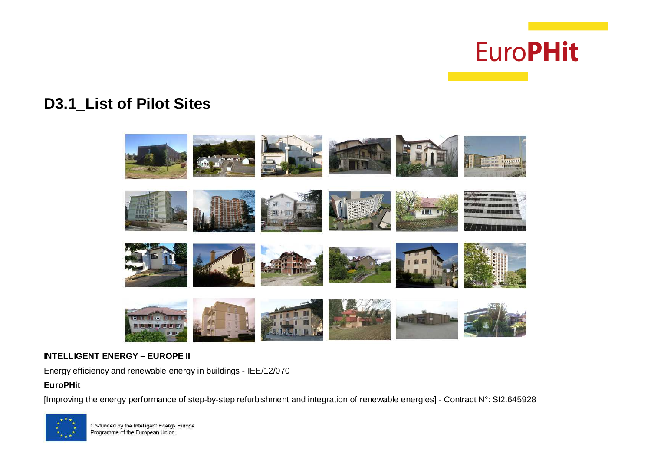

# **D3.1\_List of Pilot Sites**



#### **INTELLIGENT ENERGY – EUROPE II**

Energy efficiency and renewable energy in buildings - IEE/12/070

## **EuroPHit**

[Improving the energy performance of step-by-step refurbishment and integration of renewable energies] - Contract N°: SI2.645928

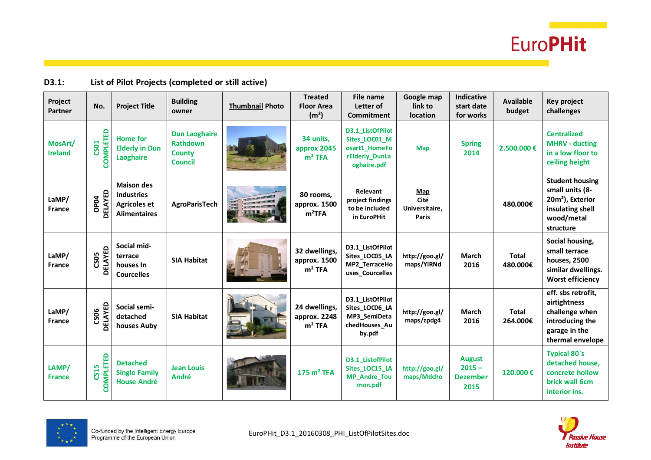

### **D3.1: List of Pilot Projects (completed or still active)**

| Project<br>Partner        | No.                      | <b>Project Title</b>                                                                 | <b>Building</b><br>owner                                                   | <b>Thumbnail Photo</b> | <b>Treated</b><br><b>Floor Area</b><br>(m <sup>2</sup> ) | File name<br>Letter of<br>Commitment                                                | Google map<br>link to<br>location             | <b>Indicative</b><br>start date<br>for works         | <b>Available</b><br>budget | Key project<br>challenges                                                                                                |
|---------------------------|--------------------------|--------------------------------------------------------------------------------------|----------------------------------------------------------------------------|------------------------|----------------------------------------------------------|-------------------------------------------------------------------------------------|-----------------------------------------------|------------------------------------------------------|----------------------------|--------------------------------------------------------------------------------------------------------------------------|
| MosArt/<br><b>Ireland</b> | COMPLETED<br>CS01        | <b>Home for</b><br><b>Elderly in Dun</b><br><b>Laoghaire</b>                         | <b>Dun Laoghaire</b><br><b>Rathdown</b><br><b>County</b><br><b>Council</b> |                        | 34 units,<br>approx 2045<br>$m2$ TFA                     | D3.1_ListOfPilot<br>Sites_LOC01_M<br>osart1_HomeFo<br>rElderly_DunLa<br>oghaire.pdf | <b>Map</b>                                    | <b>Spring</b><br>2014                                | 2.500.000€                 | <b>Centralized</b><br><b>MHRV - ducting</b><br>in a low floor to<br>ceiling height                                       |
| LaMP/<br><b>France</b>    | DELAYED<br>OP04          | <b>Maison des</b><br><b>Industries</b><br><b>Agricoles et</b><br><b>Alimentaires</b> | <b>AgroParisTech</b>                                                       | a general              | 80 rooms,<br>approx. 1500<br>$m^2TFA$                    | Relevant<br>project findings<br>to be included<br>in EuroPHit                       | Map<br>Cité<br>Universitaire,<br><b>Paris</b> |                                                      | 480.000€                   | <b>Student housing</b><br>small units (8-<br>20m <sup>2</sup> ), Exterior<br>insulating shell<br>wood/metal<br>structure |
| LaMP/<br><b>France</b>    | <b>DELAYED</b><br>CS05   | Social mid-<br>terrace<br>houses In<br><b>Courcelles</b>                             | <b>SIA Habitat</b>                                                         |                        | 32 dwellings,<br>approx. 1500<br>$m2$ TFA                | D3.1_ListOfPilot<br>Sites_LOC05_LA<br>MP2_TerraceHo<br>uses_Courcelles              | http://goo.gl/<br>maps/YIRNd                  | <b>March</b><br>2016                                 | <b>Total</b><br>480.000€   | Social housing,<br>small terrace<br>houses, 2500<br>similar dwellings.<br><b>Worst efficiency</b>                        |
| LaMP/<br>France           | <b>DELAYED</b><br>CS06   | Social semi-<br>detached<br>houses Auby                                              | <b>SIA Habitat</b>                                                         |                        | 24 dwellings,<br>approx. 2248<br>$m2$ TFA                | D3.1_ListOfPilot<br>Sites_LOC06_LA<br>MP3_SemiDeta<br>chedHouses_Au<br>by.pdf       | http://goo.gl/<br>maps/zpdg4                  | <b>March</b><br>2016                                 | <b>Total</b><br>264.000€   | eff. sbs retrofit,<br>airtightness<br>challenge when<br>introducing the<br>garage in the<br>thermal envelope             |
| LAMP/<br><b>France</b>    | <b>COMPLETED</b><br>CS15 | <b>Detached</b><br><b>Single Family</b><br><b>House André</b>                        | <b>Jean Louis</b><br><b>André</b>                                          |                        | $175 \text{ m}^2$ TFA                                    | D3.1 ListofPilot<br>Sites_LOC15_LA<br>MP_Andre_Tou<br>rnon.pdf                      | http://goo.gl/<br>maps/Mdcho                  | <b>August</b><br>$2015 -$<br><b>Dezember</b><br>2015 | 120,000€                   | <b>Typical 80's</b><br>detached house,<br>concrete hollow<br>brick wall 6cm<br>interior ins.                             |



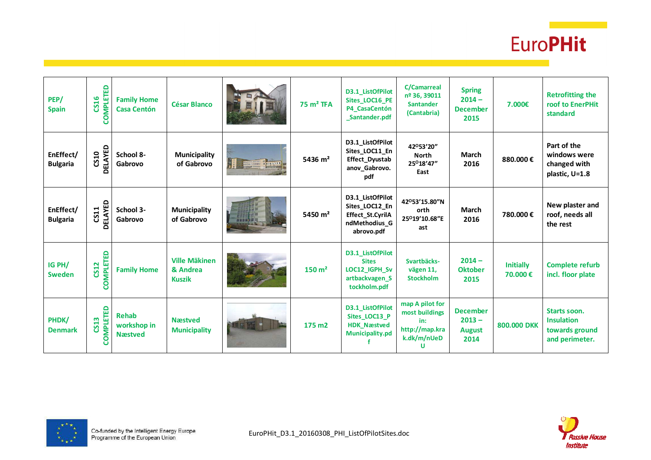

| PEP/<br><b>Spain</b>         | <b>COMPLETED</b><br>CS16 | <b>Family Home</b><br><b>Casa Centón</b>      | <b>César Blanco</b>                               |                        | $75 \text{ m}^2$ TFA | D3.1_ListOfPilot<br>Sites_LOC16_PE<br>P4_CasaCentón<br>Santander.pdf                  | <b>C/Camarreal</b><br>nº 36, 39011<br>Santander<br>(Cantabria)                 | <b>Spring</b><br>$2014 -$<br><b>December</b><br>2015 | 7.000€                      | <b>Retrofitting the</b><br>roof to EnerPHit<br>standard                      |
|------------------------------|--------------------------|-----------------------------------------------|---------------------------------------------------|------------------------|----------------------|---------------------------------------------------------------------------------------|--------------------------------------------------------------------------------|------------------------------------------------------|-----------------------------|------------------------------------------------------------------------------|
| EnEffect/<br><b>Bulgaria</b> | <b>DELAYED</b><br>CS10   | School 8-<br>Gabrovo                          | <b>Municipality</b><br>of Gabrovo                 | <b>BARBARA BARBARA</b> | 5436 $m2$            | D3.1_ListOfPilot<br>Sites_LOC11_En<br>Effect_Dyustab<br>anov_Gabrovo.<br>pdf          | 42°53'20"<br><b>North</b><br>25°18'47"<br>East                                 | <b>March</b><br>2016                                 | 880.000€                    | Part of the<br>windows were<br>changed with<br>plastic, U=1.8                |
| EnEffect/<br><b>Bulgaria</b> | <b>DELAYED</b><br>CS11   | School 3-<br>Gabrovo                          | <b>Municipality</b><br>of Gabrovo                 |                        | 5450 $m2$            | D3.1_ListOfPilot<br>Sites_LOC12_En<br>Effect_St.CyrilA<br>ndMethodius_G<br>abrovo.pdf | 42°53'15.80"N<br>orth<br>25°19'10.68"E<br>ast                                  | <b>March</b><br>2016                                 | 780.000€                    | New plaster and<br>roof, needs all<br>the rest                               |
| IG PH/<br><b>Sweden</b>      | COMPLETED<br>CS12        | <b>Family Home</b>                            | <b>Ville Mäkinen</b><br>& Andrea<br><b>Kuszik</b> |                        | 150 m <sup>2</sup>   | D3.1_ListOfPilot<br><b>Sites</b><br>LOC12 IGPH Sv<br>artbackvagen_S<br>tockholm.pdf   | Svartbäcks-<br>vägen 11,<br><b>Stockholm</b>                                   | $2014 -$<br><b>Oktober</b><br>2015                   | <b>Initially</b><br>70,000€ | <b>Complete refurb</b><br>incl. floor plate                                  |
| PHDK/<br><b>Denmark</b>      | COMPLETED<br>CS13        | <b>Rehab</b><br>workshop in<br><b>Næstved</b> | <b>N</b> æstved<br><b>Municipality</b>            |                        | 175 m <sub>2</sub>   | D3.1_ListOfPilot<br>Sites_LOC13_P<br><b>HDK_Næstved</b><br>Municipality.pd            | map A pilot for<br>most buildings<br>in:<br>http://map.kra<br>k.dk/m/nUeD<br>U | <b>December</b><br>$2013 -$<br><b>August</b><br>2014 | 800.000 DKK                 | <b>Starts soon.</b><br><b>Insulation</b><br>towards ground<br>and perimeter. |



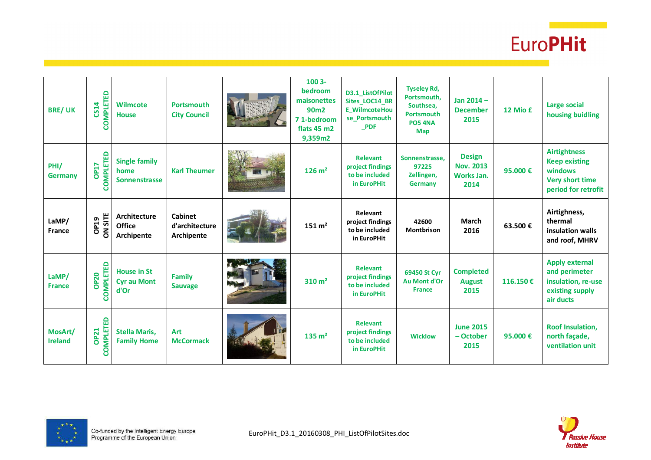

| <b>BRE/UK</b>             | COMPLETED<br>CS14        | <b>Wilmcote</b><br><b>House</b>                      | <b>Portsmouth</b><br><b>City Council</b>       | 1003-<br>bedroom<br>maisonettes<br>90 <sub>m2</sub><br>71-bedroom<br>flats 45 m2<br>9,359m2 | D3.1_ListOfPilot<br>Sites_LOC14_BR<br><b>E</b> WilmcoteHou<br>se Portsmouth<br><b>PDF</b> | <b>Tyseley Rd,</b><br>Portsmouth,<br>Southsea,<br><b>Portsmouth</b><br><b>PO5 4NA</b><br>Map | Jan $2014 -$<br><b>December</b><br>2015                 | 12 Mio £ | <b>Large social</b><br>housing buidling                                                                 |
|---------------------------|--------------------------|------------------------------------------------------|------------------------------------------------|---------------------------------------------------------------------------------------------|-------------------------------------------------------------------------------------------|----------------------------------------------------------------------------------------------|---------------------------------------------------------|----------|---------------------------------------------------------------------------------------------------------|
| PHI/<br><b>Germany</b>    | COMPLETED<br><b>OP17</b> | <b>Single family</b><br>home<br><b>Sonnenstrasse</b> | <b>Karl Theumer</b>                            | $126 \text{ m}^2$                                                                           | <b>Relevant</b><br>project findings<br>to be included<br>in EuroPHit                      | Sonnenstrasse.<br>97225<br>Zellingen,<br>Germany                                             | <b>Design</b><br><b>Nov. 2013</b><br>Works Jan.<br>2014 | 95,000€  | <b>Airtightness</b><br><b>Keep existing</b><br>windows<br><b>Very short time</b><br>period for retrofit |
| LaMP/<br>France           | <b>ON SITE</b><br>OP19   | Architecture<br><b>Office</b><br>Archipente          | <b>Cabinet</b><br>d'architecture<br>Archipente | $151 \text{ m}^2$                                                                           | Relevant<br>project findings<br>to be included<br>in EuroPHit                             | 42600<br><b>Montbrison</b>                                                                   | <b>March</b><br>2016                                    | 63.500€  | Airtighness,<br>thermal<br>insulation walls<br>and roof, MHRV                                           |
| LaMP/<br><b>France</b>    | COMPLETED<br><b>OP20</b> | <b>House in St</b><br><b>Cyr au Mont</b><br>d'Or     | <b>Family</b><br><b>Sauvage</b>                | 310 m <sup>2</sup>                                                                          | <b>Relevant</b><br>project findings<br>to be included<br>in EuroPHit                      | 69450 St Cyr<br>Au Mont d'Or<br><b>France</b>                                                | <b>Completed</b><br><b>August</b><br>2015               | 116.150€ | <b>Apply external</b><br>and perimeter<br>insulation, re-use<br>existing supply<br>air ducts            |
| MosArt/<br><b>Ireland</b> | COMPLETED<br><b>OP21</b> | <b>Stella Maris,</b><br><b>Family Home</b>           | <b>Art</b><br><b>McCormack</b>                 | $135 \text{ m}^2$                                                                           | <b>Relevant</b><br>project findings<br>to be included<br>in EuroPHit                      | <b>Wicklow</b>                                                                               | <b>June 2015</b><br>- October<br>2015                   | 95.000€  | <b>Roof Insulation,</b><br>north façade,<br>ventilation unit                                            |



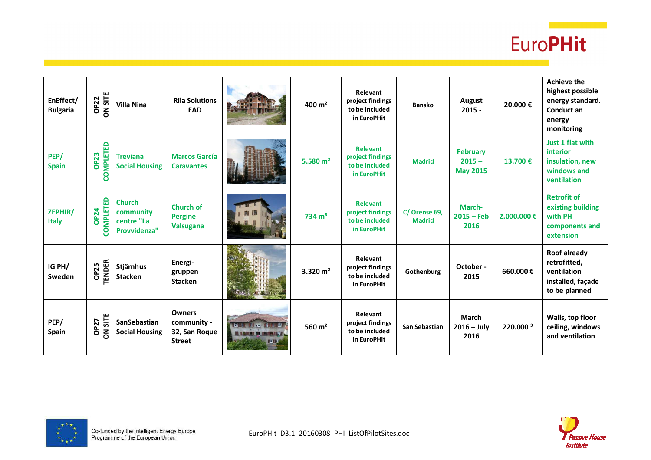

| EnEffect/<br><b>Bulgaria</b> | <b>ON SITE</b><br><b>OP22</b>   | <b>Villa Nina</b>                                        | <b>Rila Solutions</b><br><b>EAD</b>                            |                                                         | $400 \text{ m}^2$ | Relevant<br>project findings<br>to be included<br>in EuroPHit        | <b>Bansko</b>                 | August<br>$2015 -$                      | 20.000€              | <b>Achieve the</b><br>highest possible<br>energy standard.<br>Conduct an<br>energy<br>monitoring |
|------------------------------|---------------------------------|----------------------------------------------------------|----------------------------------------------------------------|---------------------------------------------------------|-------------------|----------------------------------------------------------------------|-------------------------------|-----------------------------------------|----------------------|--------------------------------------------------------------------------------------------------|
| PEP/<br><b>Spain</b>         | <b>COMPLETED</b><br><b>OP23</b> | <b>Treviana</b><br><b>Social Housing</b>                 | <b>Marcos García</b><br><b>Caravantes</b>                      |                                                         | 5.580 $m2$        | <b>Relevant</b><br>project findings<br>to be included<br>in EuroPHit | <b>Madrid</b>                 | February<br>$2015 -$<br><b>May 2015</b> | 13.700 €             | Just 1 flat with<br>interior<br>insulation, new<br>windows and<br>ventilation                    |
| ZEPHIR/<br><b>Italy</b>      | <b>COMPLETED</b><br><b>OP24</b> | <b>Church</b><br>community<br>centre "La<br>Provvidenza" | <b>Church of</b><br><b>Pergine</b><br>Valsugana                |                                                         | $734 \text{ m}^3$ | <b>Relevant</b><br>project findings<br>to be included<br>in EuroPHit | C/Orense 69,<br><b>Madrid</b> | March-<br>$2015 - Feb$<br>2016          | $2,000,000 \in$      | <b>Retrofit of</b><br>existing building<br>with PH<br>components and<br>extension                |
| IG PH/<br>Sweden             | <b>TENDER</b><br><b>OP25</b>    | Stjärnhus<br>Stacken                                     | Energi-<br>gruppen<br><b>Stacken</b>                           |                                                         | 3.320 $m2$        | Relevant<br>project findings<br>to be included<br>in EuroPHit        | Gothenburg                    | October -<br>2015                       | 660.000€             | Roof already<br>retrofitted,<br>ventilation<br>installed, façade<br>to be planned                |
| PEP/<br><b>Spain</b>         | ON SITE<br><b>OP27</b>          | SanSebastian<br><b>Social Housing</b>                    | <b>Owners</b><br>community -<br>32, San Roque<br><b>Street</b> | m.<br><b>B. VERSIE DE BEL DE 2017</b><br><b>Bulling</b> | 560 $m2$          | Relevant<br>project findings<br>to be included<br>in EuroPHit        | San Sebastian                 | <b>March</b><br>$2016 - July$<br>2016   | 220.000 <sup>3</sup> | Walls, top floor<br>ceiling, windows<br>and ventilation                                          |



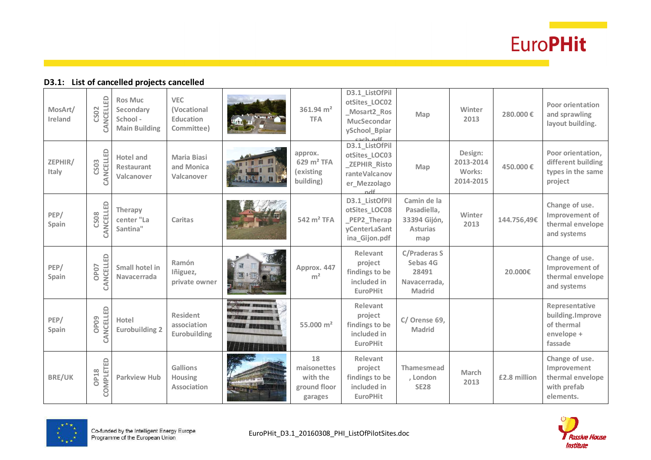

#### **D3.1: List of cancelled projects cancelled**

| MosArt/<br>Ireland | CANCELLED<br>CS02             | <b>Ros Muc</b><br>Secondary<br>School -<br><b>Main Building</b> | <b>VEC</b><br>(Vocational<br><b>Education</b><br>Committee) |                       | 361.94 $m2$<br><b>TFA</b>                                  | D3.1_ListOfPil<br>otSites_LOC02<br>Mosart2_Ros<br><b>MucSecondar</b><br>ySchool_Bpiar                | Map                                                                       | Winter<br>2013                              | 280,000€     | <b>Poor orientation</b><br>and sprawling<br>layout building.                  |
|--------------------|-------------------------------|-----------------------------------------------------------------|-------------------------------------------------------------|-----------------------|------------------------------------------------------------|------------------------------------------------------------------------------------------------------|---------------------------------------------------------------------------|---------------------------------------------|--------------|-------------------------------------------------------------------------------|
| ZEPHIR/<br>Italy   | CANCELLED<br>CS03             | <b>Hotel and</b><br><b>Restaurant</b><br>Valcanover             | <b>Maria Biasi</b><br>and Monica<br>Valcanover              | m                     | approx.<br>$629 \text{ m}^2$ TFA<br>(existing<br>building) | Each ndf<br>D3.1_ListOfPil<br>otSites_LOC03<br>_ZEPHIR_Risto<br>ranteValcanov<br>er_Mezzolago<br>ndf | Map                                                                       | Design:<br>2013-2014<br>Works:<br>2014-2015 | 450.000€     | Poor orientation,<br>different building<br>types in the same<br>project       |
| PEP/<br>Spain      | CANCELLED<br><b>CS08</b>      | Therapy<br>center "La<br>Santina"                               | Caritas                                                     |                       | 542 m <sup>2</sup> TFA                                     | D3.1_ListOfPil<br>otSites_LOC08<br>PEP2_Therap<br>yCenterLaSant<br>ina_Gijon.pdf                     | Camin de la<br>Pasadiella,<br>33394 Gijón,<br><b>Asturias</b><br>map      | Winter<br>2013                              | 144.756,49€  | Change of use.<br>Improvement of<br>thermal envelope<br>and systems           |
| PEP/<br>Spain      | CANCELLED<br>OP <sub>07</sub> | Small hotel in<br>Navacerrada                                   | Ramón<br>Iñiguez,<br>private owner                          |                       | Approx. 447<br>m <sup>2</sup>                              | Relevant<br>project<br>findings to be<br>included in<br><b>EuroPHit</b>                              | <b>C/Praderas S</b><br>Sebas 4G<br>28491<br>Navacerrada,<br><b>Madrid</b> |                                             | 20.000€      | Change of use.<br>Improvement of<br>thermal envelope<br>and systems           |
| PEP/<br>Spain      | CANCELLED<br>OP <sub>09</sub> | Hotel<br><b>Eurobuilding 2</b>                                  | <b>Resident</b><br>association<br>Eurobuilding              | <i>SITTI E</i> BERTHE | 55,000 $m2$                                                | Relevant<br>project<br>findings to be<br>included in<br><b>EuroPHit</b>                              | C/ Orense 69,<br><b>Madrid</b>                                            |                                             |              | Representative<br>building.Improve<br>of thermal<br>envelope +<br>fassade     |
| <b>BRE/UK</b>      | COMPLETED<br>OP18             | <b>Parkview Hub</b>                                             | <b>Gallions</b><br><b>Housing</b><br><b>Association</b>     |                       | 18<br>maisonettes<br>with the<br>ground floor<br>garages   | Relevant<br>project<br>findings to be<br>included in<br><b>EuroPHit</b>                              | <b>Thamesmead</b><br>, London<br><b>SE28</b>                              | March<br>2013                               | £2.8 million | Change of use.<br>Improvement<br>thermal envelope<br>with prefab<br>elements. |